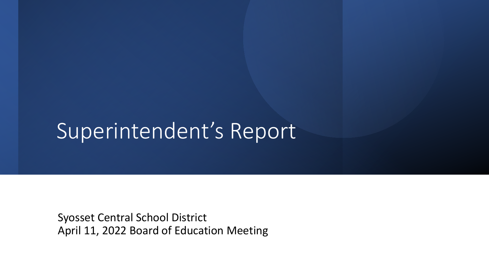# Superintendent's Report

Syosset Central School District April 11, 2022 Board of Education Meeting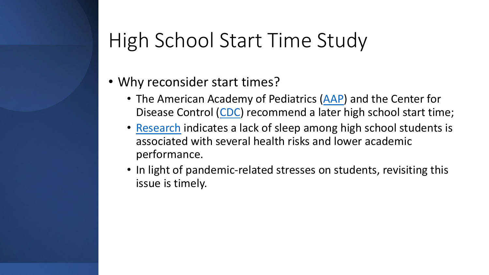# High School Start Time Study

#### • Why reconsider start times?

- The American Academy of Pediatrics ([AAP\)](https://publications.aap.org/aapnews/news/13792) and the Center for Disease Control ([CDC](https://www.cdc.gov/sleep/features/schools-start-too-early.html)) recommend a later high school start time;
- [Research](https://publications.aap.org/pediatrics/article/134/3/e921/74176/Insufficient-Sleep-in-Adolescents-and-Young-Adults) indicates a lack of sleep among high school students is associated with several health risks and lower academic performance.
- In light of pandemic-related stresses on students, revisiting this issue is timely.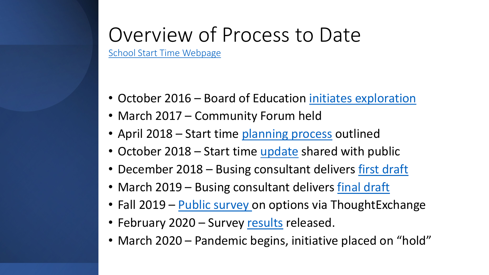# Overview of Process to Date

[School Start Time Webpage](https://www.syossetschools.org/site/default.aspx?PageID=624)

- October 2016 Board of Education [initiates exploration](https://www.syossetschools.org/cms/lib/NY50000216/Centricity/Domain/114/FINAL%20High%20School%20Start%20Time%209%2029%2016.pdf)
- March 2017 Community Forum held
- April 2018 Start time [planning process](https://www.syossetschools.org/site/handlers/filedownload.ashx?moduleinstanceid=705&dataid=3451&FileName=April%2018%202018_HS_Start_Time_Presentation.pdf) outlined
- October 2018 Start time [update](https://www.syossetschools.org/site/handlers/filedownload.ashx?moduleinstanceid=705&dataid=10430&FileName=October_19_2018_High_School_Start_Times.pdf) shared with public
- December 2018 Busing consultant delivers [first draft](https://www.syossetschools.org/cms/lib/NY50000216/Centricity/Domain/114/SCSD%20Bell%20Time%20Analysis%20Phase%201%20Report-12.10.18%20-Final.pdf)
- March 2019 Busing consultant delivers [final draft](https://www.syossetschools.org/cms/lib/NY50000216/Centricity/Domain/114/SCSD%20Bell%20Time%20Analysis%20Phase%201%20Report-3.13.19.pdf)
- Fall 2019 [Public survey o](https://www.syossetschools.org/cms/lib/NY50000216/Centricity/Domain/114/Results%20Overview%20-%20High%20Level.pptx)n options via ThoughtExchange
- February 2020 Survey [results](https://www.syossetschools.org/site/handlers/filedownload.ashx?moduleinstanceid=705&dataid=11595&FileName=HS%20Start%20Time%20Results%20021020.pdf) released.
- March 2020 Pandemic begins, initiative placed on "hold"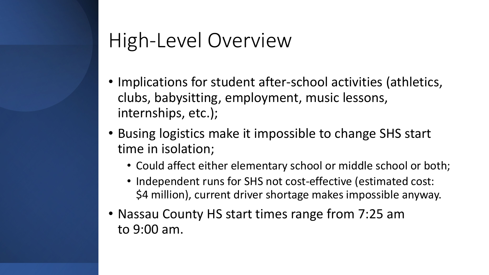# High-Level Overview

- Implications for student after-school activities (athletics, clubs, babysitting, employment, music lessons, internships, etc.);
- Busing logistics make it impossible to change SHS start time in isolation;
	- Could affect either elementary school or middle school or both;
	- Independent runs for SHS not cost-effective (estimated cost: \$4 million), current driver shortage makes impossible anyway.
- Nassau County HS start times range from 7:25 am to 9:00 am.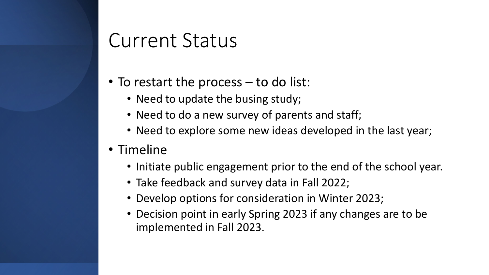### Current Status

- To restart the process to do list:
	- Need to update the busing study;
	- Need to do a new survey of parents and staff;
	- Need to explore some new ideas developed in the last year;
- Timeline
	- Initiate public engagement prior to the end of the school year.
	- Take feedback and survey data in Fall 2022;
	- Develop options for consideration in Winter 2023;
	- Decision point in early Spring 2023 if any changes are to be implemented in Fall 2023.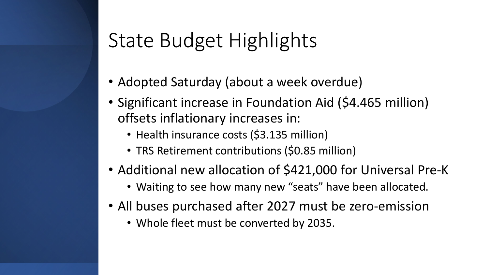# State Budget Highlights

- Adopted Saturday (about a week overdue)
- Significant increase in Foundation Aid (\$4.465 million) offsets inflationary increases in:
	- Health insurance costs (\$3.135 million)
	- TRS Retirement contributions (\$0.85 million)
- Additional new allocation of \$421,000 for Universal Pre-K
	- Waiting to see how many new "seats" have been allocated.
- All buses purchased after 2027 must be zero-emission
	- Whole fleet must be converted by 2035.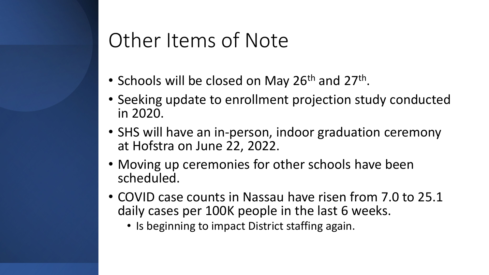## Other Items of Note

- Schools will be closed on May 26<sup>th</sup> and 27<sup>th</sup>.
- Seeking update to enrollment projection study conducted in 2020.
- SHS will have an in-person, indoor graduation ceremony at Hofstra on June 22, 2022.
- Moving up ceremonies for other schools have been scheduled.
- COVID case counts in Nassau have risen from 7.0 to 25.1 daily cases per 100K people in the last 6 weeks.
	- Is beginning to impact District staffing again.